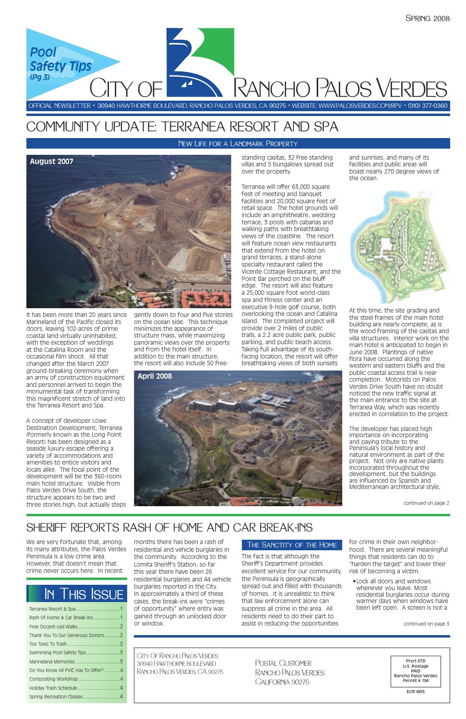It has been more than 20 years since Marineland of the Pacific closed its doors, leaving 102-acres of prime coastal land virtually uninhabited, with the exception of weddings at the Catalina Room and the occasional film shoot. All that changed after the March 2007 ground-breaking ceremony when an army of construction equipment and personnel arrived to begin the monumental task of transforming this magnificent stretch of land into the Terranea Resort and Spa.

A concept of developer Lowe Destination Development, Terranea (formerly known as the Long Point Resort) has been designed as a seaside luxury escape offering a variety of accommodations and amenities to entice visitors and locals alike. The focal point of the development will be the 360-room main hotel structure. Visible from Palos Verdes Drive South, the structure appears to be two and three stories high, but actually steps gently down to four and five stories on the ocean side. This technique minimizes the appearance of structure mass, while maximizing panoramic views over the property and from the hotel itself. In addition to the main structure, the resort will also include 50 freestanding casitas, 32 free standing villas and 5 bungalows spread out over the property.

Terranea will offer 63,000 square feet of meeting and banquet facilities and 20,000 square feet of retail space. The hotel grounds will include an amphitheatre, wedding terrace, 3 pools with cabanas and walking paths with breathtaking views of the coastline. The resort will feature ocean view restaurants that extend from the hotel on grand terraces; a stand-alone specialty restaurant called the Vicente Cottage Restaurant, and the Point Bar perched on the bluff edge. The resort will also feature a 25,000 square foot world-class spa and fitness center and an executive 9-hole golf course, both overlooking the ocean and Catalina Island. The completed project will provide over 2 miles of public trails, a 2.2 acre public park, public parking, and public beach access. Taking full advantage of its southfacing location, the resort will offer breathtaking views of both sunsets

and sunrises, and many of its facilities and public areas will boast nearly 270 degree views of the ocean.

At this time, the site grading and the steel frames of the main hotel building are nearly complete, as is the wood framing of the casitas and villa structures. Interior work on the main hotel is anticipated to begin in June 2008. Plantings of native flora have occurred along the western and eastern bluffs and the public coastal access trail is near completion. Motorists on Palos Verdes Drive South have no doubt noticed the new traffic signal at the main entrance to the site at Terranea Way, which was recently erected in correlation to the project.

The developer has placed high importance on incorporating and paying tribute to the Peninsula's local history and natural environment as part of the project. Not only are native plants incorporated throughout the development, but the buildings are influenced by Spanish and Mediterranean architectural style,

We are very fortunate that, among its many attributes, the Palos Verdes Peninsula is a low crime area. However, that doesn't mean that crime never occurs here. In recent

months there has been a rash of residential and vehicle burglaries in the community. According to the Lomita Sheriff's Station, so far this year there have been 26 residential burglaries and 44 vehicle burglaries reported in the City. In approximately a third of these cases, the break-ins were "crimes of opportunity" where entry was gained through an unlocked door or window.

The fact is that although the Sheriff's Department provides excellent service for our community, the Peninsula is geographically spread out and filled with thousands of homes. It is unrealistic to think that law enforcement alone can suppress all crime in the area. All residents need to do their part to assist in reducing the opportunities

for crime in their own neighborhood. There are several meaningful things that residents can do to "harden the target" and lower their risk of becoming a victim.

•Lock all doors and windows whenever you leave. Most residential burglaries occur during warmer days when windows have been left open. A screen is not a

#### New Life for a Landmark Property

| Rash Of Home & Car Break-Ins1        |  |
|--------------------------------------|--|
|                                      |  |
| Thank You To Our Generous Donors2    |  |
|                                      |  |
|                                      |  |
|                                      |  |
| Do You Know All PVIC Has To Offer? 4 |  |
|                                      |  |
|                                      |  |
| Spring Recreation Classes4           |  |

OFFICIAL NEWSLETTER • 30940 HAWTHORNE BOULEVARD, RANCHO PALOS VERDES, CA 90275 • WEBSITE: WWW.PALOSVERDES.COM/RPV • (310) 377-0360

City Of Rancho Palos Verdes 30940 Hawthorne boulevard Rancho Palos Verdes, CA 90275

Prsrt-STD U.S. Postage PAID Rancho Palos Verdes Permit # 194

ECR-WSS

Postal CustomerRancho Palos Verdes California 90275

# In This Issue

Rancho Palos Verdes



*Pool Pool*

*Safety Tips Safety Tips*



*(Pg 3) (Pg 3)*

# COMMUNITY UPDATE: TERRANEA RESORT AND SPA

continued on page 3

### The Sanctity of the Home



 $Y \cap F$ 

**April 2008**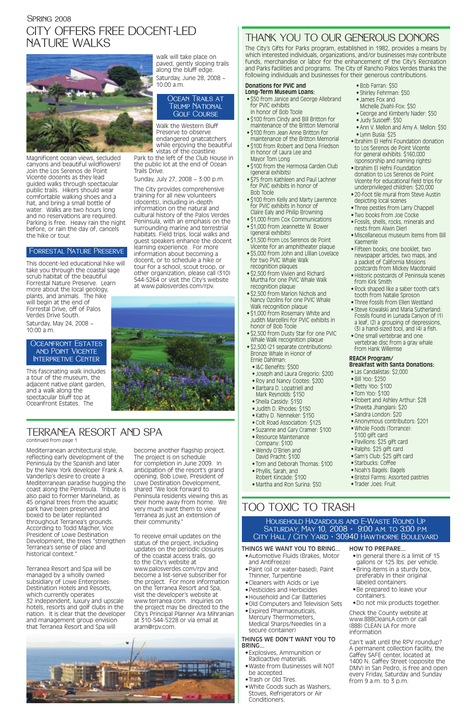#### **Donations for PVIC and Long-Term Museum Loans:**

- \$50 from Janice and George Allebrand for PVIC exhibits in honor of Bob Toole
- \$100 from Cindy and Bill Britton for maintenance of the Britton Memorial
- \$100 from Jean Anne Britton for maintenance of the Britton Memorial
- \$100 from Robert and Dena Friedson in honor of Laura Lee and Mayor Tom Long
- \$100 from the Hermosa Garden Club (general exhibits)
- \$75 from Kathleen and Paul Lachner for PVIC exhibits in honor of Bob Toole
- \$100 from Kelly and Marty Lawrence for PVIC exhibits in honor of Claire Ealy and Philip Browning
- \$1,000 from Cox Communications
- \$1,000 from Jeannette W. Bower (general exhibits)
- \$1,500 from Los Serenos de Point Vicente for an amphitheater plaque
- \$5,000 from John and Lillian Lovelace for two PVIC Whale Walk recognition plaques
- \$2,500 from Vivien and Richard Murtha for one PVIC Whale Walk recognition plaque
- \$2,500 from Marion Nichols and Nancy Ozolins for one PVIC Whale Walk recognition plaque
- \$1,000 from Rosemary White and Judith Marcellini for PVIC exhibits in honor of Bob Toole
- \$2,500 from Dusty Star for one PVIC Whale Walk recognition plaque
- \$2,500 (21 separate contributions): Bronze Whale in Honor of Ernie Dahlman:
	- I&C Benefits: \$500
- Joseph and Laura Gregorio: \$200
- Roy and Nancy Cootes: \$200
- Barbara D. Lopatriell and
- Mark Reynolds: \$150
- Sheila Cassidy: \$150
- Judith D. Rhodes: \$150
- Kathy D. Nenneker: \$150
- Colt Road Association: \$125
- Suzanne and Gary Cramer: \$100 • Resource Maintenance
- Company: \$100 • Wendy O'Brien and
- David Pracht: \$100
- Tom and Deborah Thomas: \$100
- Phyllis, Sarah, and Robert Kincade: \$100
- Martha and Ron Surina: \$50

### • Bob Farran: \$50

## SPRING 2008 CITY OFFERS FREE DOCENT-LED NATURE WALKS



- Shirley Fehrman: \$50
- James Fox and Michelle Zivahl-Fox: \$50
- George and Kimberly Nader: \$50
- Judy Susoeff: \$50
- Ann V. Mellon and Amy A. Mellon: \$50 • Lynn Busia: \$25
- Ibrahim El Hefni Foundation donation to Los Serenos de Point Vicente for general exhibits: \$160,000 (sponsorship and naming rights)
- Ibrahim El Hefni Foundation donation to Los Serenos de Point Vicente for educational field trips for underprivileged children: \$20,000
- 20-foot tile mural from Steve Austin depicting local scenes
- Three pestles from Larry Chappell
- Two books from Joe Cocke
- Fossils, shells, rocks, minerals and nests from Alwin Dierl
- Miscellaneous museum items from Bill Kaemenle
- Fifteen books, one booklet, two newspaper articles, two maps, and a packet of California Missions postcards from Mickey Macdonald
- Historic postcards of Peninsula scenes from Kirk Smith
- Rock shaped like a saber tooth cat's tooth from Natalie Sproson
- Three fossils from Ellen Westland
- Steve Kowalski and Maria Sutherland: Fossils found in Lunada Canyon of (1) a leaf, (2) a grouping of depressions, (3) a hand-sized tool, and (4) a fish.
- One small vertebrae and one vertebrae disc from a gray whale from Hank Willemse

#### OCEANFRONT ESTATES and Point Vicente Interpretive Center

#### OCEAN TRAILS AT Trump National Golf Course

#### **REACH Program/ Breakfast with Santa Donations:**

- Las Candalistas: \$2,000
- Bill Yoo: \$250
- Betty Yoo: \$100
- Tom Yoo: \$100
- Robert and Ashley Arthur: \$28
- Shweta Jhangiani: \$20
- Sandra London: \$20
- Anonymous contributors: \$201
- Whole Foods (Torrance): \$100 gift card
- Pavilions: \$25 gift card
- Ralphs: \$25 gift card
- Sam's Club: \$25 gift card
- Starbucks: Coffee
- Noah's Bagels: Bagels
- Bristol Farms: Assorted pastries
- Trader Joes: Fruit

## THANK YOU TO OUR GENEROUS DONORS

Household Hazardous and E-Waste Round Up **SATURDAY, MAY 10, 2008 • 9:00 A.M. TO 3:00 P.M.** 

The City's Gifts for Parks program, established in 1982, provides a means by which interested individuals, organizations, and/or businesses may contribute funds, merchandise or labor for the enhancement of the City's Recreation and Parks facilities and programs. The City of Rancho Palos Verdes thanks the following individuals and businesses for their generous contributions.

Magnificent ocean views, secluded canyons and beautiful wildflowers! Join the Los Serenos de Point Vicente docents as they lead guided walks through spectacular public trails. Hikers should wear comfortable walking shoes and a hat, and bring a small bottle of water. Walks are two hours long and no reservations are required. Parking is free. Heavy rain the night before, or rain the day of, cancels the hike or tour.

This docent-led educational hike will take you through the coastal sage scrub habitat of the beautiful Forrestal Nature Preserve. Learn more about the local geology, plants, and animals. The hike will begin at the end of Forrestal Drive, off of Palos Verdes Drive South.

Saturday, May 24, 2008 ~ 10:00 a.m.

This fascinating walk includes a tour of the museum, the adjacent native plant garden, and a walk along the spectacular bluff top at Oceanfront Estates. The

#### walk will take place on paved, gently sloping trails along the bluff edge. Saturday, June 28, 2008 ~ 10:00 a.m.

Walk the Western Bluff Preserve to observe endangered gnatcatchers while enjoying the beautiful vistas of the coastline.

Park to the left of the Club House in the public lot at the end of Ocean Trails Drive.

Sunday, July 27, 2008 ~ 3:00 p.m.

The City provides comprehensive training for all new volunteers (docents), including in-depth information on the natural and cultural history of the Palos Verdes Peninsula, with an emphasis on the surrounding marine and terrestrial habitats. Field trips, local walks and guest speakers enhance the docent learning experience. For more information about becoming a docent, or to schedule a hike or tour for a school, scout troop, or other organization, please call (310) 544-5264 or visit the City's website at www.palosverdes.com/rpv.



#### Forrestal Nature Preserve

# TOO TOXIC TO TRASH

#### THINGS WE WANT YOU TO BRING...

- •Automotive Fluids (Brakes, Motor and Antifreeze)
- •Paint (oil or water-based), Paint Thinner, Turpentine
- •Cleaners with Acids or Lye
- •Pesticides and Herbicides
- •Household and Car Batteries
- •Old Computers and Television Sets
- •Expired Pharmaceuticals, Mercury Thermometers, Medical Sharps/Needles (in a secure container)

#### THINGS WE DON'T WANT YOU TO BRING...

- •Explosives, Ammunition or Radioactive materials.
- •Waste from Businesses will NOT be accepted.
- •Trash or Old Tires.
- •White Goods such as Washers, Stoves, Refrigerators or Air Conditioners.

#### HOW TO PREPARE...

- •In general there is a limit of 15 gallons or 125 lbs. per vehicle.
- •Bring items in a sturdy box, preferably in their original labeled containers.
- •Be prepared to leave your containers.
- •Do not mix products together.

Check the County website at www.888CleanLA.com or call (888) CLEAN LA for more information

Can't wait until the RPV roundup? A permanent collection facility, the Gaffey SAFE center, located at 1400 N. Gaffey Street (opposite the DMV) in San Pedro, is free and open every Friday, Saturday and Sunday from 9 a.m. to 3 p.m.

### City Hall / City Yard • 30940 Hawthorne Boulevard

#### TERRANEA RESORT AND SPA continued from page 1

Mediterranean architectural style, reflecting early development of the Peninsula by the Spanish and later by the New York developer Frank A. Vanderlip's desire to create a Mediterranean paradise hugging the coast along the Peninsula. Tribute is also paid to former Marineland, as 45 original trees from the aquatic park have been preserved and boxed to be later replanted throughout Terranea's grounds. According to Todd Majcher, Vice President of Lowe Destination Development, the trees "strengthen Terranea's sense of place and historical context."

Terranea Resort and Spa will be managed by a wholly owned subsidiary of Lowe Enterprises: Destination Hotels and Resorts, which currently operates 32 independent, luxury and upscale hotels, resorts and golf clubs in the nation. It is clear that the developer and management group envision that Terranea Resort and Spa will

become another flagship project. The project is on schedule for completion in June 2009. In anticipation of the resort's grand opening, Bob Lowe, President of Lowe Destination Development, shared "We look forward to Peninsula residents viewing this as their home away from home. We very much want them to view Terranea as just an extension of their community."

To receive email updates on the status of the project, including updates on the periodic closures of the coastal access trails, go to the City's website at www.palosverdes.com/rpv and become a list-serve subscriber for the project. For more information on the Terranea Resort and Spa, visit the developer's website at www.terranea.com. Inquiries on the project may be directed to the City's Principal Planner Ara Mihranian at 310-544-5228 or via email at aram@rpv.com.

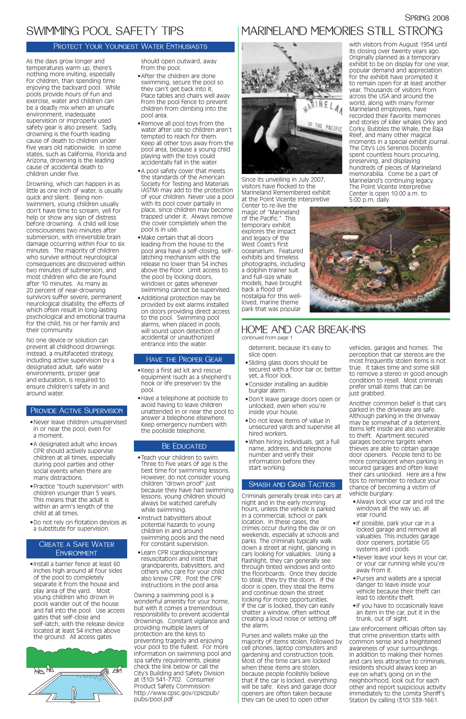deterrent, because it's easy to slice open.

- •Sliding glass doors should be secured with a floor bar or, better yet, a floor lock.
- •Consider installing an audible burglar alarm.
- •Don't leave garage doors open or unlocked, even when you're inside your house.
- •Do not leave items of value in unsecured yards and supervise all hired workers.
- •When hiring individuals, get a full name, address, and telephone number and verify their information before they start working.

Criminals generally break into cars at night and in the early morning hours, unless the vehicle is parked in a commercial, school or park location. In these cases, the crimes occur during the day or on weekends, especially at schools and parks. The criminals typically walk down a street at night, glancing in cars looking for valuables. Using a flashlight, they can generally see through tinted windows and onto the floorboards. Once they decide to steal, they try the doors. If the door is open, they steal the items and continue down the street looking for more opportunities. If the car is locked, they can easily shatter a window, often without creating a loud noise or setting off the alarm.

Purses and wallets make up the majority of items stolen, followed by cell phones, laptop computers and gardening and construction tools. Most of the time cars are locked when these items are stolen, because people foolishly believe that if the car is locked, everything will be safe. Keys and garage door openers are often taken because they can be used to open other

vehicles, garages and homes. The perception that car stereos are the most frequently stolen items is not true. It takes time and some skill to remove a stereo in good enough condition to resell. Most criminals prefer small items that can be just grabbed.

Another common belief is that cars parked in the driveway are safe. Although parking in the driveway may be somewhat of a deterrent, items left inside are also vulnerable to theft. Apartment secured garages become targets when thieves are able to obtain garage door openers. People tend to be more complacent when parking in secured garages and often leave their cars unlocked. Here are a few tips to remember to reduce your chance of becoming a victim of vehicle burglary:

- •Always lock your car and roll the windows all the way up, all year round.
- •If possible, park your car in a

locked garage and remove all valuables. This includes garage door openers, portable GIS systems and i pods.

- •Never leave your keys in your car, or your car running while you're away from it.
- •Purses and wallets are a special danger to leave inside your vehicle because their theft can lead to identity theft.
- •If you have to occasionally leave an item in the car, put it in the trunk, out of sight.

Law enforcement officials often say that crime prevention starts with common sense and a heightened awareness of your surroundings. In addition to making their homes and cars less attractive to criminals, residents should always keep an eye on what's going on in the neighborhood, look out for each other and report suspicious activity immediately to the Lomita Sheriff's Station by calling (310) 539-1661.

### HOME AND CAR BREAK-INS

continued from page 1

Since its unveiling in July 2007, visitors have flocked to the Marineland Remembered exhibit at the Point Vicente Interpretive

Center to re-live the magic of "Marineland of the Pacific." This temporary exhibit explores the impact and legacy of the West Coast's first oceanarium. Featured exhibits and timeless photographs, including a dolphin trainer suit and full-size whale models, have brought back a flood of nostalgia for this wellloved, marine theme park that was popular

with visitors from August 1954 until its closing over twenty years ago. Originally planned as a temporary exhibit to be on display for one year, popular demand and appreciation for the exhibit have prompted it to remain open for at least another year. Thousands of visitors from across the USA and around the world, along with many former Marineland employees, have recorded their favorite memories and stories of killer whales Orky and Corky, Bubbles the Whale, the Baja Reef, and many other magical moments in a special exhibit journal. The City's Los Serenos Docents spent countless hours procuring, preserving, and displaying hundreds of pieces of Marineland memorabilia. Come be a part of Marineland's continuing legacy. The Point Vicente Interpretive Center is open 10:00 a.m. to 5:00 p.m. daily.





As the days grow longer and temperatures warm up, there's nothing more inviting, especially for children, than spending time enjoying the backyard pool. While pools provide hours of fun and exercise, water and children can be a deadly mix when an unsafe environment, inadequate supervision or improperly used safety gear is also present. Sadly, drowning is the fourth leading cause of death to children under five years old nationwide. In some states, such as California, Florida and Arizona, drowning is the leading cause of accidental death to children under five.

#### Create a Safe Water **ENVIRONMENT**

Drowning, which can happen in as little as one inch of water, is usually quick and silent. Being nonswimmers, young children usually don't have time to scream, yell for help or show any sign of distress before drowning. A child will lose consciousness two minutes after submersion, with irreversible brain damage occurring within four to six minutes. The majority of children who survive without neurological consequences are discovered within two minutes of submersion, and most children who die are found after 10 minutes. As many as 20 percent of near-drowning survivors suffer severe, permanent neurological disability, the effects of which often result in long-lasting psychological and emotional trauma for the child, his or her family and their community.

No one device or solution can prevent all childhood drownings. Instead, a multifaceted strategy, including active supervision by a designated adult, safe water environments, proper gear and education, is required to ensure children's safety in and around water.

- •Never leave children unsupervised in or near the pool, even for a moment.
- •A designated adult who knows CPR should actively supervise children at all times, especially during pool parties and other social events when there are many distractions.
- •Practice "touch supervision" with children younger than 5 years. This means that the adult is within an arm's length of the child at all times.
- •Do not rely on flotation devices as

a substitute for supervision.

•Install a barrier fence at least 60 inches high around all four sides of the pool to completely separate it from the house and play area of the yard. Most young children who drown in pools wander out of the house and fall into the pool. Use access gates that self-close and self-latch, with the release device located at least 54 inches above the ground. All access gates



should open outward, away from the pool.

- •After the children are done swimming, secure the pool so they can't get back into it. Place tables and chairs well away from the pool fence to prevent children from climbing into the pool area.
- •Remove all pool toys from the water after use so children aren't tempted to reach for them. Keep all other toys away from the pool area, because a young child playing with the toys could accidentally fall in the water.
- •A pool safety cover that meets the standards of the American Society for Testing and Materials (ASTM) may add to the protection of your children. Never use a pool with its pool cover partially in place, since children may become trapped under it. Always remove the cover completely when the pool is in use.
- •Make certain that all doors leading from the house to the pool area have a self-closing, selflatching mechanism with the release no lower than 54 inches above the floor. Limit access to the pool by locking doors, windows or gates whenever swimming cannot be supervised.
- •Additional protection may be provided by exit alarms installed on doors providing direct access to the pool. Swimming pool alarms, when placed in pools, will sound upon detection of accidental or unauthorized entrance into the water.

- •Keep a first aid kit and rescue equipment (such as a shepherd's hook or life preserver) by the pool.
- •Have a telephone at poolside to avoid having to leave children unattended in or near the pool to answer a telephone elsewhere. Keep emergency numbers with the poolside telephone.

#### BE EDUCATED

- •Teach your children to swim. Three to five years of age is the best time for swimming lessons. However, do not consider young children "drown proof" just because they have had swimming lessons; young children should always be watched carefully while swimming.
- •Instruct babysitters about potential hazards to young

children in and around swimming pools and the need for constant supervision.

•Learn CPR (cardiopulmonary resuscitation) and insist that grandparents, babysitters, and others who care for your child also know CPR. Post the CPR instructions in the pool area.

Owning a swimming pool is a wonderful amenity for your home, but with it comes a tremendous responsibility to prevent accidental drownings. Constant vigilance and providing multiple layers of protection are the keys to preventing tragedy and enjoying your pool to the fullest. For more information on swimming pool and spa safety requirements, please check the link below or call the City's Building and Safety Division at (310) 541-7702. Consumer Product Safety Commission: http://www.cpsc.gov/cpscpub/ pubs/pool.pdf

### SPRING 2008

# SWIMMING POOL SAFETY TIPS

#### Protect Your Youngest Water Enthusiasts

#### Smash and Grab Tactics

#### Provide Active Supervision

#### Have the Proper Gear